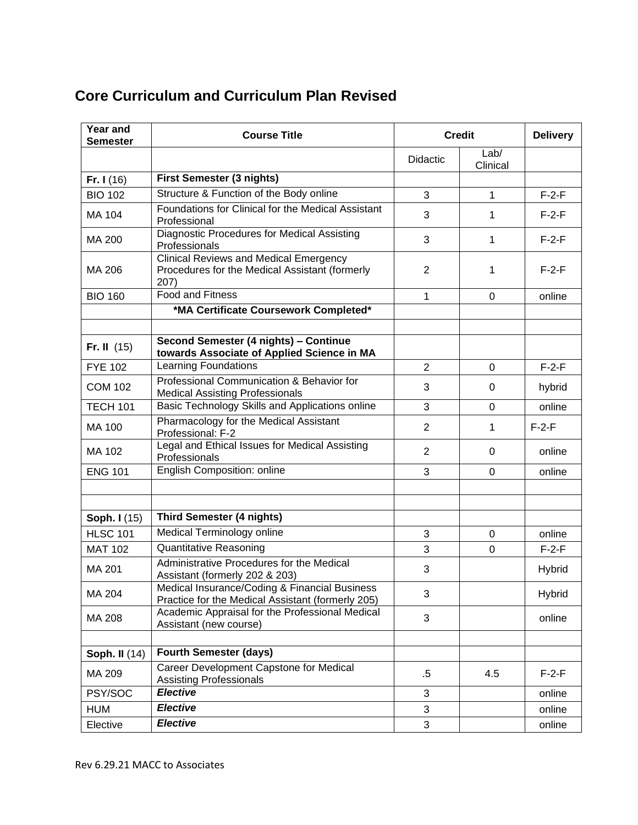## **Core Curriculum and Curriculum Plan Revised**

| <b>Year and</b><br><b>Semester</b> | <b>Course Title</b>                                                                                     | <b>Credit</b>   |                  | <b>Delivery</b> |
|------------------------------------|---------------------------------------------------------------------------------------------------------|-----------------|------------------|-----------------|
|                                    |                                                                                                         | <b>Didactic</b> | Lab/<br>Clinical |                 |
| Fr. $I(16)$                        | First Semester (3 nights)                                                                               |                 |                  |                 |
| <b>BIO 102</b>                     | Structure & Function of the Body online                                                                 | 3               | $\mathbf{1}$     | $F-2-F$         |
| MA 104                             | Foundations for Clinical for the Medical Assistant<br>Professional                                      | 3               | 1                | $F-2-F$         |
| MA 200                             | Diagnostic Procedures for Medical Assisting<br>Professionals                                            | 3               | 1                | $F-2-F$         |
| MA 206                             | <b>Clinical Reviews and Medical Emergency</b><br>Procedures for the Medical Assistant (formerly<br>207) | 2               | 1                | $F-2-F$         |
| <b>BIO 160</b>                     | <b>Food and Fitness</b>                                                                                 | 1               | $\Omega$         | online          |
|                                    | *MA Certificate Coursework Completed*                                                                   |                 |                  |                 |
|                                    |                                                                                                         |                 |                  |                 |
| Fr. II $(15)$                      | Second Semester (4 nights) - Continue<br>towards Associate of Applied Science in MA                     |                 |                  |                 |
| <b>FYE 102</b>                     | <b>Learning Foundations</b>                                                                             | $\overline{2}$  | 0                | $F-2-F$         |
| <b>COM 102</b>                     | Professional Communication & Behavior for<br><b>Medical Assisting Professionals</b>                     | 3               | 0                | hybrid          |
| <b>TECH 101</b>                    | Basic Technology Skills and Applications online                                                         | 3               | $\Omega$         | online          |
| MA 100                             | Pharmacology for the Medical Assistant<br>Professional: F-2                                             | 2               | 1                | $F-2-F$         |
| MA 102                             | Legal and Ethical Issues for Medical Assisting<br>Professionals                                         | $\overline{2}$  | 0                | online          |
| <b>ENG 101</b>                     | English Composition: online                                                                             | 3               | $\overline{0}$   | online          |
|                                    |                                                                                                         |                 |                  |                 |
|                                    |                                                                                                         |                 |                  |                 |
| <b>Soph. I</b> (15)                | <b>Third Semester (4 nights)</b>                                                                        |                 |                  |                 |
| <b>HLSC 101</b>                    | Medical Terminology online                                                                              | 3               | 0                | online          |
| <b>MAT 102</b>                     | <b>Quantitative Reasoning</b>                                                                           | 3               | 0                | $F-2-F$         |
| MA 201                             | Administrative Procedures for the Medical<br>Assistant (formerly 202 & 203)                             | 3               |                  | Hybrid          |
| MA 204                             | Medical Insurance/Coding & Financial Business<br>Practice for the Medical Assistant (formerly 205)      | 3               |                  | Hybrid          |
| <b>MA 208</b>                      | Academic Appraisal for the Professional Medical<br>Assistant (new course)                               | 3               |                  | online          |
|                                    |                                                                                                         |                 |                  |                 |
| <b>Soph. II (14)</b>               | <b>Fourth Semester (days)</b>                                                                           |                 |                  |                 |
| MA 209                             | Career Development Capstone for Medical<br><b>Assisting Professionals</b>                               | $.5\,$          | 4.5              | $F-2-F$         |
| PSY/SOC                            | <b>Elective</b>                                                                                         | 3               |                  | online          |
| <b>HUM</b>                         | <b>Elective</b>                                                                                         | 3               |                  | online          |
| Elective                           | <b>Elective</b>                                                                                         | 3               |                  | online          |